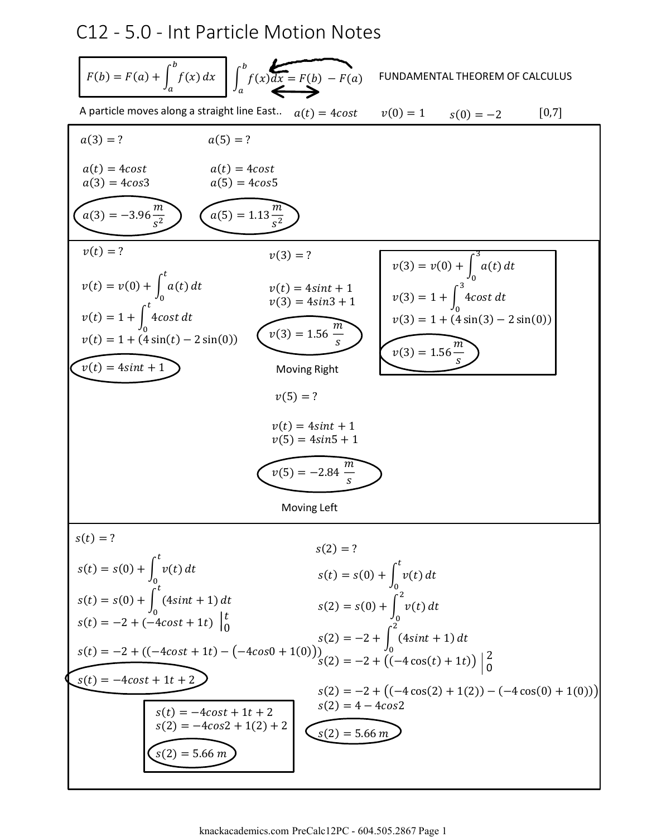## C12 - 5.0 - Int Particle Motion Notes

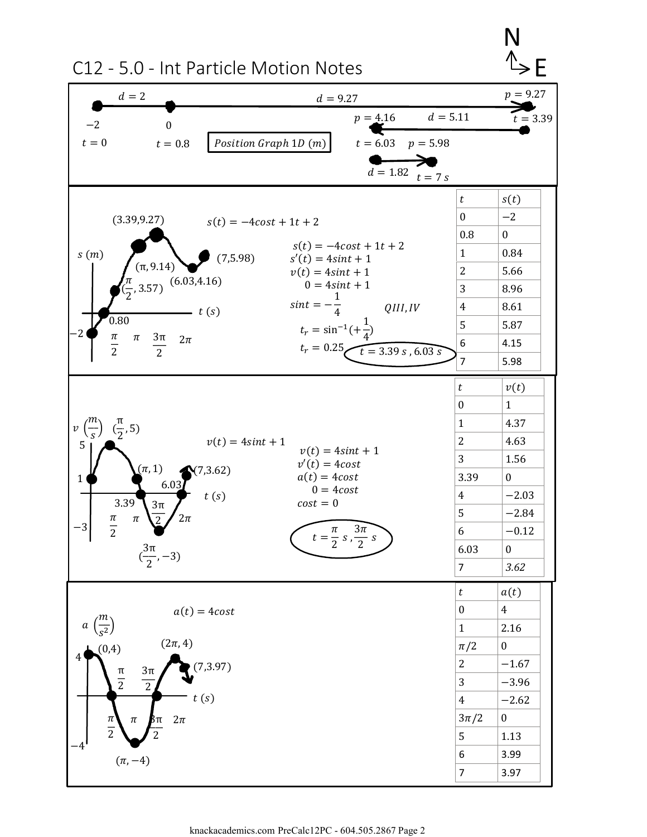

knackacademics.com PreCalc12PC - 604.505.2867 Page 2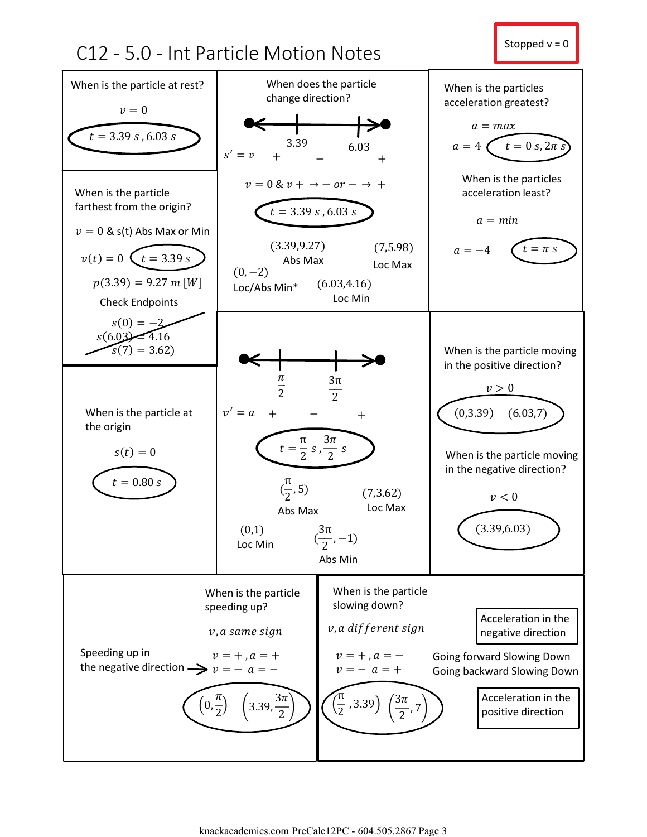## C12 - 5.0 - Int Particle Motion Notes